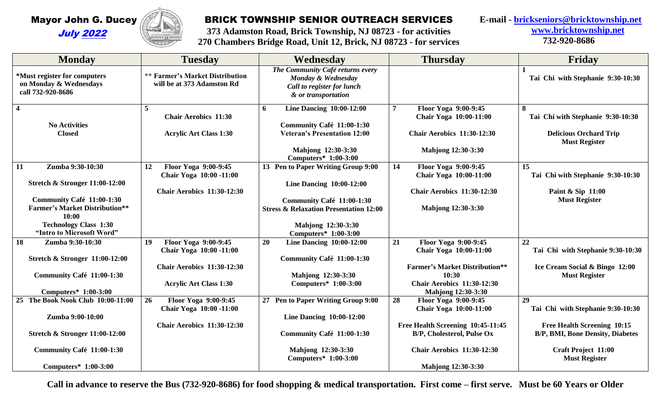

## BRICK TOWNSHIP SENIOR OUTREACH SERVICES

**373 Adamston Road, Brick Township, NJ 08723 - for activities 270 Chambers Bridge Road, Unit 12, Brick, NJ 08723 - for services**  **E-mail - [brickseniors@bricktownship.net](mailto:brickseniors@bricktownship.net) [www.bricktownship.net](http://www.bricktownship.net/) 732-920-8686**

|                                                                                                                                           | 4850                                                                                                                        | $270$ Chambers Druge Road, Omt 12, Drick, NJ 00723 - 101 Services                                                                                                               |                                                                                                                                                                          |                                                                                                                   |
|-------------------------------------------------------------------------------------------------------------------------------------------|-----------------------------------------------------------------------------------------------------------------------------|---------------------------------------------------------------------------------------------------------------------------------------------------------------------------------|--------------------------------------------------------------------------------------------------------------------------------------------------------------------------|-------------------------------------------------------------------------------------------------------------------|
| <b>Monday</b>                                                                                                                             | <b>Tuesday</b>                                                                                                              | Wednesday                                                                                                                                                                       | <b>Thursday</b>                                                                                                                                                          | Friday                                                                                                            |
| *Must register for computers<br>on Monday & Wednesdays<br>call 732-920-8686                                                               | <b>** Farmer's Market Distribution</b><br>will be at 373 Adamston Rd                                                        | The Community Café returns every<br>Monday & Wednesday<br>Call to register for lunch<br>& or transportation                                                                     |                                                                                                                                                                          | Tai Chi with Stephanie 9:30-10:30                                                                                 |
| $\overline{\mathbf{4}}$<br><b>No Activities</b><br><b>Closed</b>                                                                          | $\overline{5}$<br><b>Chair Aerobics 11:30</b><br><b>Acrylic Art Class 1:30</b>                                              | <b>Line Dancing 10:00-12:00</b><br>6<br>Community Café 11:00-1:30<br><b>Veteran's Presentation 12:00</b><br>Mahjong 12:30-3:30                                                  | Floor Yoga 9:00-9:45<br>7<br>Chair Yoga 10:00-11:00<br><b>Chair Aerobics 11:30-12:30</b><br><b>Mahjong 12:30-3:30</b>                                                    | 8<br>Tai Chi with Stephanie 9:30-10:30<br><b>Delicious Orchard Trip</b><br><b>Must Register</b>                   |
| Zumba 9:30-10:30<br>11<br><b>Stretch &amp; Stronger 11:00-12:00</b><br>Community Café 11:00-1:30<br><b>Farmer's Market Distribution**</b> | Floor Yoga 9:00-9:45<br>12<br>Chair Yoga 10:00 -11:00<br><b>Chair Aerobics 11:30-12:30</b>                                  | Computers* 1:00-3:00<br>13 Pen to Paper Writing Group 9:00<br><b>Line Dancing 10:00-12:00</b><br>Community Café 11:00-1:30<br><b>Stress &amp; Relaxation Presentation 12:00</b> | Floor Yoga 9:00-9:45<br>14<br>Chair Yoga 10:00-11:00<br><b>Chair Aerobics 11:30-12:30</b><br><b>Mahjong 12:30-3:30</b>                                                   | 15<br>Tai Chi with Stephanie 9:30-10:30<br>Paint & Sip 11:00<br><b>Must Register</b>                              |
| 10:00<br><b>Technology Class 1:30</b><br>"Intro to Microsoft Word"                                                                        |                                                                                                                             | Mahjong 12:30-3:30<br>Computers* 1:00-3:00                                                                                                                                      |                                                                                                                                                                          |                                                                                                                   |
| Zumba 9:30-10:30<br>18<br><b>Stretch &amp; Stronger 11:00-12:00</b><br>Community Café 11:00-1:30<br>Computers* 1:00-3:00                  | Floor Yoga 9:00-9:45<br>19<br>Chair Yoga 10:00 -11:00<br><b>Chair Aerobics 11:30-12:30</b><br><b>Acrylic Art Class 1:30</b> | 20<br><b>Line Dancing 10:00-12:00</b><br>Community Café 11:00-1:30<br>Mahjong 12:30-3:30<br>Computers* 1:00-3:00                                                                | 21<br>Floor Yoga 9:00-9:45<br>Chair Yoga 10:00-11:00<br><b>Farmer's Market Distribution**</b><br>10:30<br><b>Chair Aerobics 11:30-12:30</b><br><b>Mahjong 12:30-3:30</b> | 22<br>Tai Chi with Stephanie 9:30-10:30<br>Ice Cream Social & Bingo 12:00<br><b>Must Register</b>                 |
| 25 The Book Nook Club 10:00-11:00<br>Zumba 9:00-10:00<br><b>Stretch &amp; Stronger 11:00-12:00</b>                                        | 26<br>Floor Yoga 9:00-9:45<br>Chair Yoga 10:00 -11:00<br><b>Chair Aerobics 11:30-12:30</b>                                  | 27 Pen to Paper Writing Group 9:00<br><b>Line Dancing 10:00-12:00</b><br>Community Café 11:00-1:30                                                                              | 28<br>Floor Yoga 9:00-9:45<br>Chair Yoga 10:00-11:00<br>Free Health Screening 10:45-11:45<br>B/P, Cholesterol, Pulse Ox<br><b>Chair Aerobics 11:30-12:30</b>             | 29<br>Tai Chi with Stephanie 9:30-10:30<br>Free Health Screening 10:15<br><b>B/P, BMI, Bone Density, Diabetes</b> |
| Community Café 11:00-1:30<br>Computers* 1:00-3:00                                                                                         |                                                                                                                             | Mahjong 12:30-3:30<br>Computers* 1:00-3:00                                                                                                                                      | <b>Mahjong 12:30-3:30</b>                                                                                                                                                | <b>Craft Project 11:00</b><br><b>Must Register</b>                                                                |

**Call in advance to reserve the Bus (732-920-8686) for food shopping & medical transportation. First come – first serve. Must be 60 Years or Older**